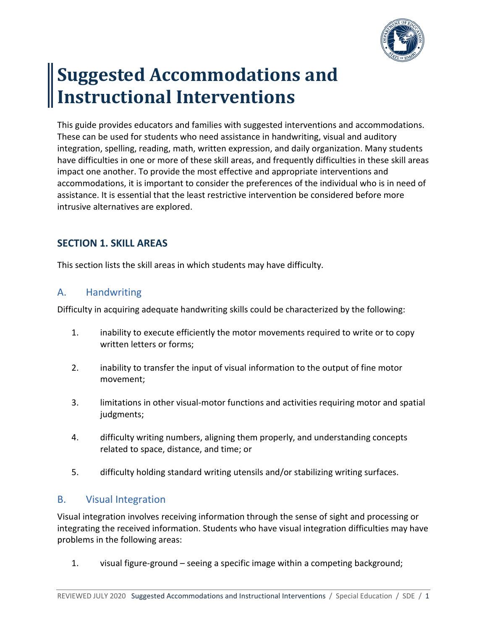

# **Suggested Accommodations and Instructional Interventions**

This guide provides educators and families with suggested interventions and accommodations. These can be used for students who need assistance in handwriting, visual and auditory integration, spelling, reading, math, written expression, and daily organization. Many students have difficulties in one or more of these skill areas, and frequently difficulties in these skill areas impact one another. To provide the most effective and appropriate interventions and accommodations, it is important to consider the preferences of the individual who is in need of assistance. It is essential that the least restrictive intervention be considered before more intrusive alternatives are explored.

# **SECTION 1. SKILL AREAS**

This section lists the skill areas in which students may have difficulty.

# A. Handwriting

Difficulty in acquiring adequate handwriting skills could be characterized by the following:

- 1. inability to execute efficiently the motor movements required to write or to copy written letters or forms;
- 2. inability to transfer the input of visual information to the output of fine motor movement;
- 3. limitations in other visual-motor functions and activities requiring motor and spatial judgments;
- 4. difficulty writing numbers, aligning them properly, and understanding concepts related to space, distance, and time; or
- 5. difficulty holding standard writing utensils and/or stabilizing writing surfaces.

## B. Visual Integration

Visual integration involves receiving information through the sense of sight and processing or integrating the received information. Students who have visual integration difficulties may have problems in the following areas:

1. visual figure-ground – seeing a specific image within a competing background;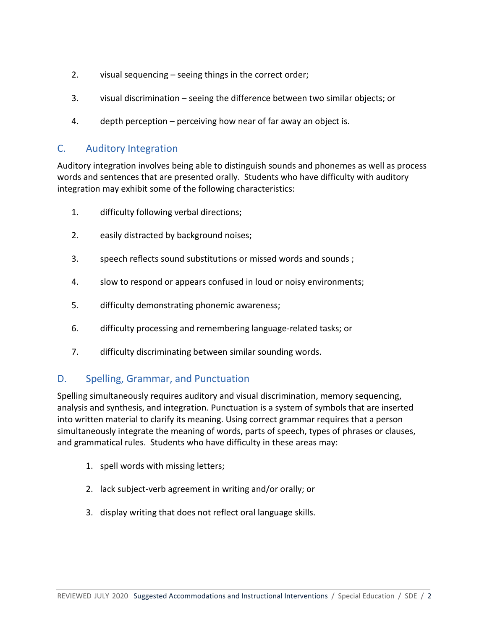- 2. visual sequencing seeing things in the correct order;
- 3. visual discrimination seeing the difference between two similar objects; or
- 4. depth perception perceiving how near of far away an object is.

## C. Auditory Integration

Auditory integration involves being able to distinguish sounds and phonemes as well as process words and sentences that are presented orally. Students who have difficulty with auditory integration may exhibit some of the following characteristics:

- 1. difficulty following verbal directions;
- 2. easily distracted by background noises;
- 3. speech reflects sound substitutions or missed words and sounds ;
- 4. slow to respond or appears confused in loud or noisy environments;
- 5. difficulty demonstrating phonemic awareness;
- 6. difficulty processing and remembering language-related tasks; or
- 7. difficulty discriminating between similar sounding words.

## D. Spelling, Grammar, and Punctuation

Spelling simultaneously requires auditory and visual discrimination, memory sequencing, analysis and synthesis, and integration. Punctuation is a system of symbols that are inserted into written material to clarify its meaning. Using correct grammar requires that a person simultaneously integrate the meaning of words, parts of speech, types of phrases or clauses, and grammatical rules. Students who have difficulty in these areas may:

- 1. spell words with missing letters;
- 2. lack subject-verb agreement in writing and/or orally; or
- 3. display writing that does not reflect oral language skills.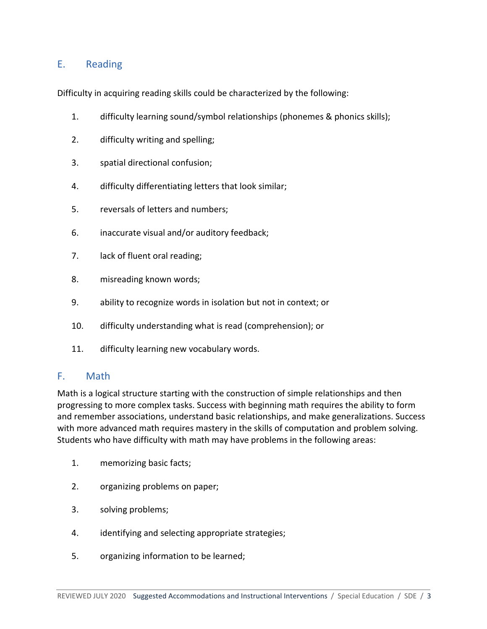# E. Reading

Difficulty in acquiring reading skills could be characterized by the following:

- 1. difficulty learning sound/symbol relationships (phonemes & phonics skills);
- 2. difficulty writing and spelling;
- 3. spatial directional confusion;
- 4. difficulty differentiating letters that look similar;
- 5. reversals of letters and numbers;
- 6. inaccurate visual and/or auditory feedback;
- 7. lack of fluent oral reading;
- 8. misreading known words;
- 9. ability to recognize words in isolation but not in context; or
- 10. difficulty understanding what is read (comprehension); or
- 11. difficulty learning new vocabulary words.

### F. Math

Math is a logical structure starting with the construction of simple relationships and then progressing to more complex tasks. Success with beginning math requires the ability to form and remember associations, understand basic relationships, and make generalizations. Success with more advanced math requires mastery in the skills of computation and problem solving. Students who have difficulty with math may have problems in the following areas:

- 1. memorizing basic facts;
- 2. organizing problems on paper;
- 3. solving problems;
- 4. identifying and selecting appropriate strategies;
- 5. organizing information to be learned;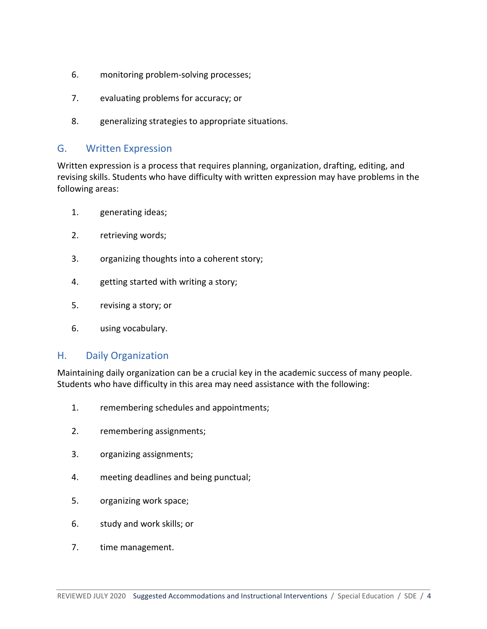- 6. monitoring problem-solving processes;
- 7. evaluating problems for accuracy; or
- 8. generalizing strategies to appropriate situations.

#### G. Written Expression

Written expression is a process that requires planning, organization, drafting, editing, and revising skills. Students who have difficulty with written expression may have problems in the following areas:

- 1. generating ideas;
- 2. retrieving words;
- 3. organizing thoughts into a coherent story;
- 4. getting started with writing a story;
- 5. revising a story; or
- 6. using vocabulary.

### H. Daily Organization

Maintaining daily organization can be a crucial key in the academic success of many people. Students who have difficulty in this area may need assistance with the following:

- 1. remembering schedules and appointments;
- 2. remembering assignments;
- 3. organizing assignments;
- 4. meeting deadlines and being punctual;
- 5. organizing work space;
- 6. study and work skills; or
- 7. time management.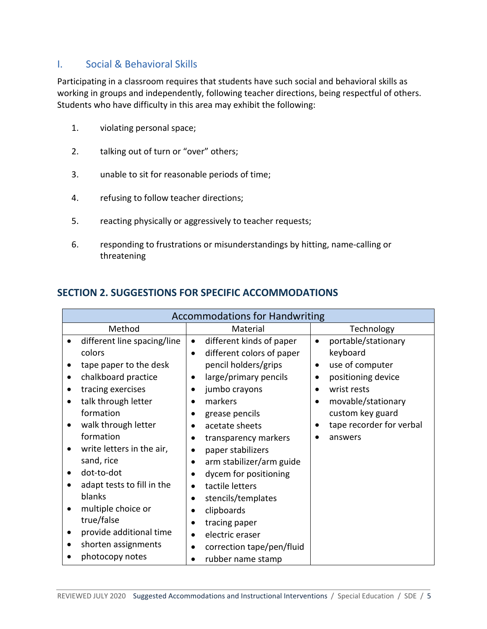## I. Social & Behavioral Skills

Participating in a classroom requires that students have such social and behavioral skills as working in groups and independently, following teacher directions, being respectful of others. Students who have difficulty in this area may exhibit the following:

- 1. violating personal space;
- 2. talking out of turn or "over" others;
- 3. unable to sit for reasonable periods of time;
- 4. refusing to follow teacher directions;
- 5. reacting physically or aggressively to teacher requests;
- 6. responding to frustrations or misunderstandings by hitting, name-calling or threatening

## **SECTION 2. SUGGESTIONS FOR SPECIFIC ACCOMMODATIONS**

| <b>Accommodations for Handwriting</b> |                                        |                                  |  |  |
|---------------------------------------|----------------------------------------|----------------------------------|--|--|
| Method                                | Material                               | Technology                       |  |  |
| different line spacing/line           | different kinds of paper<br>$\bullet$  | portable/stationary<br>$\bullet$ |  |  |
| colors                                | different colors of paper<br>$\bullet$ | keyboard                         |  |  |
| tape paper to the desk                | pencil holders/grips                   | use of computer<br>$\bullet$     |  |  |
| chalkboard practice<br>٠              | large/primary pencils<br>٠             | positioning device               |  |  |
| tracing exercises<br>$\bullet$        | jumbo crayons<br>$\bullet$             | wrist rests                      |  |  |
| talk through letter                   | markers<br>$\bullet$                   | movable/stationary               |  |  |
| formation                             | grease pencils<br>$\bullet$            | custom key guard                 |  |  |
| walk through letter                   | acetate sheets<br>$\bullet$            | tape recorder for verbal         |  |  |
| formation                             | transparency markers                   | answers                          |  |  |
| write letters in the air,             | paper stabilizers<br>$\bullet$         |                                  |  |  |
| sand, rice                            | arm stabilizer/arm guide<br>$\bullet$  |                                  |  |  |
| dot-to-dot                            | dycem for positioning                  |                                  |  |  |
| adapt tests to fill in the            | tactile letters<br>$\bullet$           |                                  |  |  |
| blanks                                | stencils/templates<br>$\bullet$        |                                  |  |  |
| multiple choice or                    | clipboards<br>$\bullet$                |                                  |  |  |
| true/false                            | tracing paper<br>$\bullet$             |                                  |  |  |
| provide additional time<br>٠          | electric eraser<br>$\bullet$           |                                  |  |  |
| shorten assignments<br>$\bullet$      | correction tape/pen/fluid              |                                  |  |  |
| photocopy notes                       | rubber name stamp<br>$\bullet$         |                                  |  |  |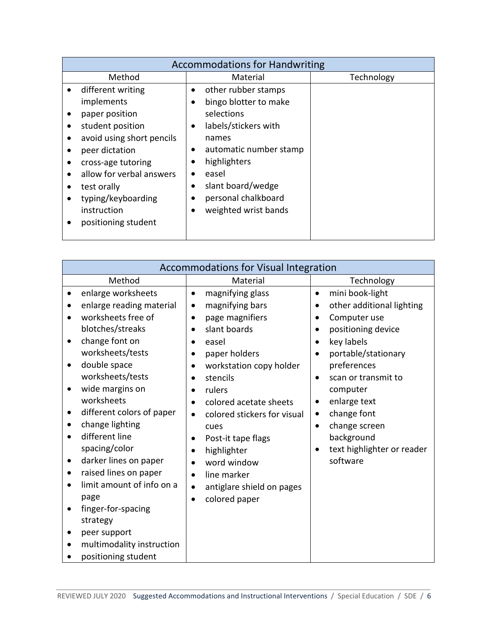|           | <b>Accommodations for Handwriting</b> |           |                        |            |
|-----------|---------------------------------------|-----------|------------------------|------------|
|           | Method                                |           | Material               | Technology |
|           | different writing                     | $\bullet$ | other rubber stamps    |            |
|           | implements                            |           | bingo blotter to make  |            |
|           | paper position                        |           | selections             |            |
|           | student position                      |           | labels/stickers with   |            |
|           | avoid using short pencils             |           | names                  |            |
|           | peer dictation                        |           | automatic number stamp |            |
| $\bullet$ | cross-age tutoring                    |           | highlighters           |            |
|           | allow for verbal answers              |           | easel                  |            |
|           | test orally                           |           | slant board/wedge      |            |
|           | typing/keyboarding                    | $\bullet$ | personal chalkboard    |            |
|           | instruction                           |           | weighted wrist bands   |            |
|           | positioning student                   |           |                        |            |
|           |                                       |           |                        |            |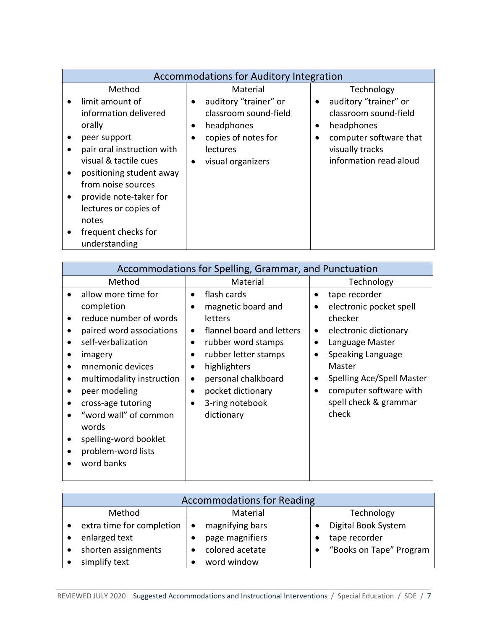| <b>Accommodations for Auditory Integration</b>                                                                                                                                                                                                                                                            |                                                                                                                                                                    |                                                                                                                                                  |  |  |
|-----------------------------------------------------------------------------------------------------------------------------------------------------------------------------------------------------------------------------------------------------------------------------------------------------------|--------------------------------------------------------------------------------------------------------------------------------------------------------------------|--------------------------------------------------------------------------------------------------------------------------------------------------|--|--|
| Method                                                                                                                                                                                                                                                                                                    | Material                                                                                                                                                           | Technology                                                                                                                                       |  |  |
| limit amount of<br>$\bullet$<br>information delivered<br>orally<br>peer support<br>pair oral instruction with<br>visual & tactile cues<br>positioning student away<br>from noise sources<br>provide note-taker for<br>$\bullet$<br>lectures or copies of<br>notes<br>frequent checks for<br>understanding | auditory "trainer" or<br>$\bullet$<br>classroom sound-field<br>headphones<br>copies of notes for<br>$\bullet$<br><b>lectures</b><br>visual organizers<br>$\bullet$ | auditory "trainer" or<br>$\bullet$<br>classroom sound-field<br>headphones<br>computer software that<br>visually tracks<br>information read aloud |  |  |

| Accommodations for Spelling, Grammar, and Punctuation                                                                                                                                                                                                                                                                                                                                                                        |                                                                                                                                                                                                                                                                                                              |                                                                                                                                                                                                                                                   |  |  |
|------------------------------------------------------------------------------------------------------------------------------------------------------------------------------------------------------------------------------------------------------------------------------------------------------------------------------------------------------------------------------------------------------------------------------|--------------------------------------------------------------------------------------------------------------------------------------------------------------------------------------------------------------------------------------------------------------------------------------------------------------|---------------------------------------------------------------------------------------------------------------------------------------------------------------------------------------------------------------------------------------------------|--|--|
| Method                                                                                                                                                                                                                                                                                                                                                                                                                       | Material                                                                                                                                                                                                                                                                                                     | Technology                                                                                                                                                                                                                                        |  |  |
| allow more time for<br>$\bullet$<br>completion<br>reduce number of words<br>$\bullet$<br>paired word associations<br>٠<br>self-verbalization<br>imagery<br>mnemonic devices<br>$\bullet$<br>multimodality instruction<br>$\bullet$<br>peer modeling<br>cross-age tutoring<br>$\bullet$<br>"word wall" of common<br>$\bullet$<br>words<br>spelling-word booklet<br>$\bullet$<br>problem-word lists<br>$\bullet$<br>word banks | flash cards<br>$\bullet$<br>magnetic board and<br>letters<br>flannel board and letters<br>$\bullet$<br>rubber word stamps<br>$\bullet$<br>rubber letter stamps<br>$\bullet$<br>highlighters<br>٠<br>personal chalkboard<br>$\bullet$<br>pocket dictionary<br>$\bullet$<br>3-ring notebook<br>٠<br>dictionary | tape recorder<br>electronic pocket spell<br>checker<br>electronic dictionary<br>$\bullet$<br>Language Master<br>Speaking Language<br>Master<br>Spelling Ace/Spell Master<br>$\bullet$<br>computer software with<br>spell check & grammar<br>check |  |  |

| <b>Accommodations for Reading</b> |                           |           |                 |  |                         |
|-----------------------------------|---------------------------|-----------|-----------------|--|-------------------------|
|                                   | Method                    |           | Material        |  | Technology              |
|                                   | extra time for completion | $\bullet$ | magnifying bars |  | Digital Book System     |
|                                   | enlarged text             |           | page magnifiers |  | tape recorder           |
|                                   | shorten assignments       |           | colored acetate |  | "Books on Tape" Program |
|                                   | simplify text             |           | word window     |  |                         |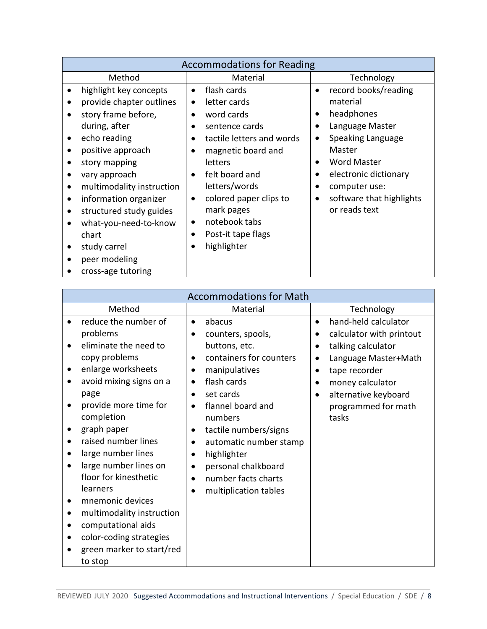| <b>Accommodations for Reading</b>                                                                                                                                                                                                                                                                                                                                                                                                                                                                                                                                                                                                                                                                                                                                                                        |                                                                                                                                                                                                                                         |  |  |  |
|----------------------------------------------------------------------------------------------------------------------------------------------------------------------------------------------------------------------------------------------------------------------------------------------------------------------------------------------------------------------------------------------------------------------------------------------------------------------------------------------------------------------------------------------------------------------------------------------------------------------------------------------------------------------------------------------------------------------------------------------------------------------------------------------------------|-----------------------------------------------------------------------------------------------------------------------------------------------------------------------------------------------------------------------------------------|--|--|--|
| Method<br>Material                                                                                                                                                                                                                                                                                                                                                                                                                                                                                                                                                                                                                                                                                                                                                                                       | Technology                                                                                                                                                                                                                              |  |  |  |
| highlight key concepts<br>flash cards<br>$\bullet$<br>$\bullet$<br>provide chapter outlines<br>letter cards<br>$\bullet$<br>story frame before,<br>word cards<br>$\bullet$<br>$\bullet$<br>during, after<br>sentence cards<br>$\bullet$<br>echo reading<br>tactile letters and words<br>٠<br>$\bullet$<br>positive approach<br>magnetic board and<br>٠<br>$\bullet$<br>story mapping<br><b>letters</b><br>felt board and<br>vary approach<br>$\bullet$<br>letters/words<br>multimodality instruction<br>$\bullet$<br>colored paper clips to<br>information organizer<br>$\bullet$<br>٠<br>mark pages<br>structured study guides<br>$\bullet$<br>notebook tabs<br>what-you-need-to-know<br>$\bullet$<br>Post-it tape flags<br>chart<br>$\bullet$<br>highlighter<br>study carrel<br>$\bullet$<br>$\bullet$ | record books/reading<br>$\bullet$<br>material<br>headphones<br>$\bullet$<br>Language Master<br>Speaking Language<br>Master<br><b>Word Master</b><br>electronic dictionary<br>computer use:<br>software that highlights<br>or reads text |  |  |  |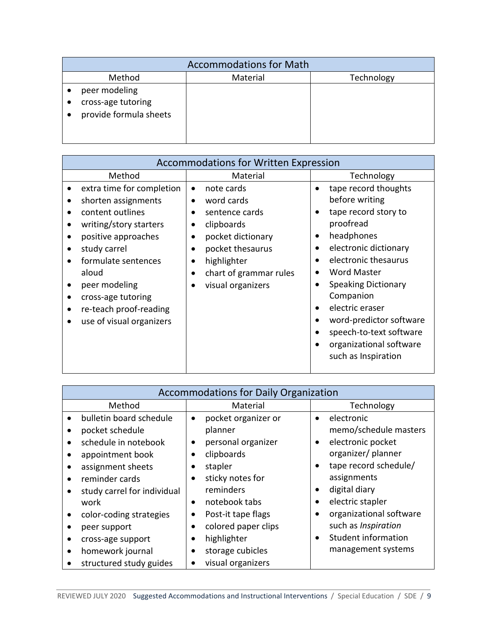| <b>Accommodations for Math</b>                                |          |            |  |  |
|---------------------------------------------------------------|----------|------------|--|--|
| Method                                                        | Material | Technology |  |  |
| peer modeling<br>cross-age tutoring<br>provide formula sheets |          |            |  |  |

| <b>Accommodations for Written Expression</b>                                                                                                                                                                                                                                                                                                                               |                                                                                                                                                                                                                                            |                                                                                                                                                                                                                                                                                                                                                                                                                   |  |
|----------------------------------------------------------------------------------------------------------------------------------------------------------------------------------------------------------------------------------------------------------------------------------------------------------------------------------------------------------------------------|--------------------------------------------------------------------------------------------------------------------------------------------------------------------------------------------------------------------------------------------|-------------------------------------------------------------------------------------------------------------------------------------------------------------------------------------------------------------------------------------------------------------------------------------------------------------------------------------------------------------------------------------------------------------------|--|
| Method                                                                                                                                                                                                                                                                                                                                                                     | Material                                                                                                                                                                                                                                   | Technology                                                                                                                                                                                                                                                                                                                                                                                                        |  |
| extra time for completion<br>shorten assignments<br>content outlines<br>$\bullet$<br>writing/story starters<br>$\bullet$<br>positive approaches<br>$\bullet$<br>study carrel<br>$\bullet$<br>formulate sentences<br>$\bullet$<br>aloud<br>peer modeling<br>$\bullet$<br>cross-age tutoring<br>$\bullet$<br>re-teach proof-reading<br>$\bullet$<br>use of visual organizers | note cards<br>$\bullet$<br>word cards<br>$\bullet$<br>sentence cards<br>$\bullet$<br>clipboards<br>٠<br>pocket dictionary<br>pocket thesaurus<br>$\bullet$<br>highlighter<br>$\bullet$<br>chart of grammar rules<br>٠<br>visual organizers | tape record thoughts<br>$\bullet$<br>before writing<br>tape record story to<br>proofread<br>headphones<br>$\bullet$<br>electronic dictionary<br>$\bullet$<br>electronic thesaurus<br>$\bullet$<br><b>Word Master</b><br>٠<br><b>Speaking Dictionary</b><br>٠<br>Companion<br>electric eraser<br>$\bullet$<br>word-predictor software<br>speech-to-text software<br>organizational software<br>such as Inspiration |  |

| <b>Accommodations for Daily Organization</b> |                               |                                  |                         |  |
|----------------------------------------------|-------------------------------|----------------------------------|-------------------------|--|
| Method                                       |                               | Material                         | Technology              |  |
| bulletin board schedule<br>$\bullet$         |                               | pocket organizer or<br>$\bullet$ | electronic              |  |
| pocket schedule                              | planner                       |                                  | memo/schedule masters   |  |
| schedule in notebook                         | personal organizer<br>٠       | ٠                                | electronic pocket       |  |
| appointment book                             | clipboards                    |                                  | organizer/planner       |  |
| assignment sheets                            | stapler                       |                                  | tape record schedule/   |  |
| reminder cards                               | sticky notes for<br>$\bullet$ |                                  | assignments             |  |
| study carrel for individual                  | reminders                     |                                  | digital diary           |  |
| work                                         | notebook tabs<br>$\bullet$    |                                  | electric stapler        |  |
| color-coding strategies                      | Post-it tape flags            |                                  | organizational software |  |
| peer support                                 | $\bullet$                     | colored paper clips              | such as Inspiration     |  |
| cross-age support                            | highlighter                   | $\bullet$                        | Student information     |  |
| homework journal<br>$\bullet$                | storage cubicles<br>$\bullet$ |                                  | management systems      |  |
| structured study guides                      | visual organizers             |                                  |                         |  |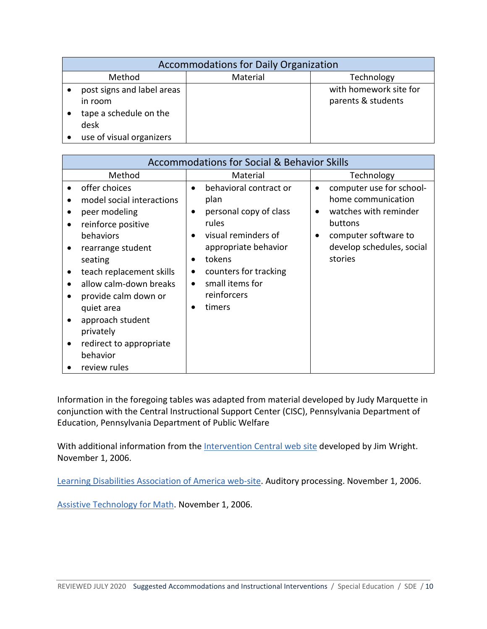| <b>Accommodations for Daily Organization</b>                            |          |                                              |  |  |
|-------------------------------------------------------------------------|----------|----------------------------------------------|--|--|
| Method                                                                  | Material | Technology                                   |  |  |
| post signs and label areas<br>in room<br>tape a schedule on the<br>desk |          | with homework site for<br>parents & students |  |  |
| use of visual organizers                                                |          |                                              |  |  |

| <b>Accommodations for Social &amp; Behavior Skills</b>                                                                                                                                                                                                                                                                                                                                             |                                                                                                                                                                                                                                                                                    |                                                                                                                                                    |
|----------------------------------------------------------------------------------------------------------------------------------------------------------------------------------------------------------------------------------------------------------------------------------------------------------------------------------------------------------------------------------------------------|------------------------------------------------------------------------------------------------------------------------------------------------------------------------------------------------------------------------------------------------------------------------------------|----------------------------------------------------------------------------------------------------------------------------------------------------|
| Method                                                                                                                                                                                                                                                                                                                                                                                             | Material                                                                                                                                                                                                                                                                           | Technology                                                                                                                                         |
| offer choices<br>model social interactions<br>peer modeling<br>$\bullet$<br>reinforce positive<br>$\bullet$<br>behaviors<br>rearrange student<br>٠<br>seating<br>teach replacement skills<br>٠<br>allow calm-down breaks<br>$\bullet$<br>provide calm down or<br>$\bullet$<br>quiet area<br>approach student<br>$\bullet$<br>privately<br>redirect to appropriate<br>٠<br>behavior<br>review rules | behavioral contract or<br>$\bullet$<br>plan<br>personal copy of class<br>$\bullet$<br>rules<br>visual reminders of<br>$\bullet$<br>appropriate behavior<br>tokens<br>$\bullet$<br>counters for tracking<br>$\bullet$<br>small items for<br>$\bullet$<br>reinforcers<br>timers<br>٠ | computer use for school-<br>home communication<br>watches with reminder<br>buttons<br>computer software to<br>develop schedules, social<br>stories |

Information in the foregoing tables was adapted from material developed by Judy Marquette in conjunction with the Central Instructional Support Center (CISC), Pennsylvania Department of Education, Pennsylvania Department of Public Welfare

With additional information from the [Intervention Central web](http://www.interventioncentral.org/) site developed by Jim Wright. November 1, 2006.

[Learning Disabilities Association of America web-site.](http://www.ldanatl.org/) Auditory processing. November 1, 2006.

[Assistive Technology for Math.](http://www.aimstar.knowability.org/) November 1, 2006.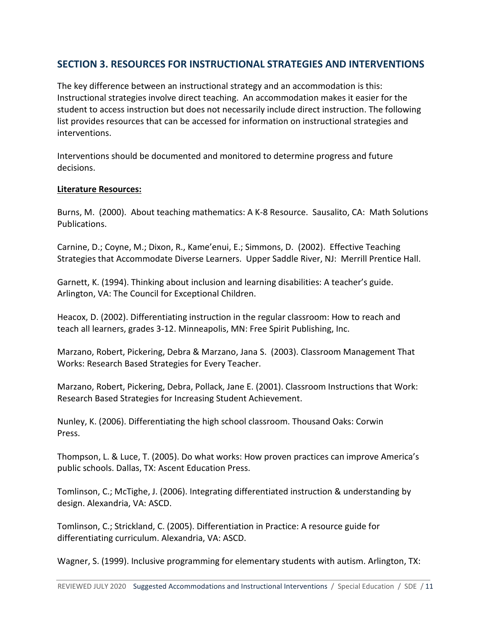# **SECTION 3. RESOURCES FOR INSTRUCTIONAL STRATEGIES AND INTERVENTIONS**

The key difference between an instructional strategy and an accommodation is this: Instructional strategies involve direct teaching. An accommodation makes it easier for the student to access instruction but does not necessarily include direct instruction. The following list provides resources that can be accessed for information on instructional strategies and interventions.

Interventions should be documented and monitored to determine progress and future decisions.

#### **Literature Resources:**

Burns, M. (2000). About teaching mathematics: A K-8 Resource. Sausalito, CA: Math Solutions Publications.

Carnine, D.; Coyne, M.; Dixon, R., Kame'enui, E.; Simmons, D. (2002). Effective Teaching Strategies that Accommodate Diverse Learners. Upper Saddle River, NJ: Merrill Prentice Hall.

Garnett, K. (1994). Thinking about inclusion and learning disabilities: A teacher's guide. Arlington, VA: The Council for Exceptional Children.

Heacox, D. (2002). Differentiating instruction in the regular classroom: How to reach and teach all learners, grades 3-12. Minneapolis, MN: Free Spirit Publishing, Inc.

Marzano, Robert, Pickering, Debra & Marzano, Jana S. (2003). Classroom Management That Works: Research Based Strategies for Every Teacher.

Marzano, Robert, Pickering, Debra, Pollack, Jane E. (2001). Classroom Instructions that Work: Research Based Strategies for Increasing Student Achievement.

Nunley, K. (2006). Differentiating the high school classroom. Thousand Oaks: Corwin Press.

Thompson, L. & Luce, T. (2005). Do what works: How proven practices can improve America's public schools. Dallas, TX: Ascent Education Press.

Tomlinson, C.; McTighe, J. (2006). Integrating differentiated instruction & understanding by design. Alexandria, VA: ASCD.

Tomlinson, C.; Strickland, C. (2005). Differentiation in Practice: A resource guide for differentiating curriculum. Alexandria, VA: ASCD.

Wagner, S. (1999). Inclusive programming for elementary students with autism. Arlington, TX: